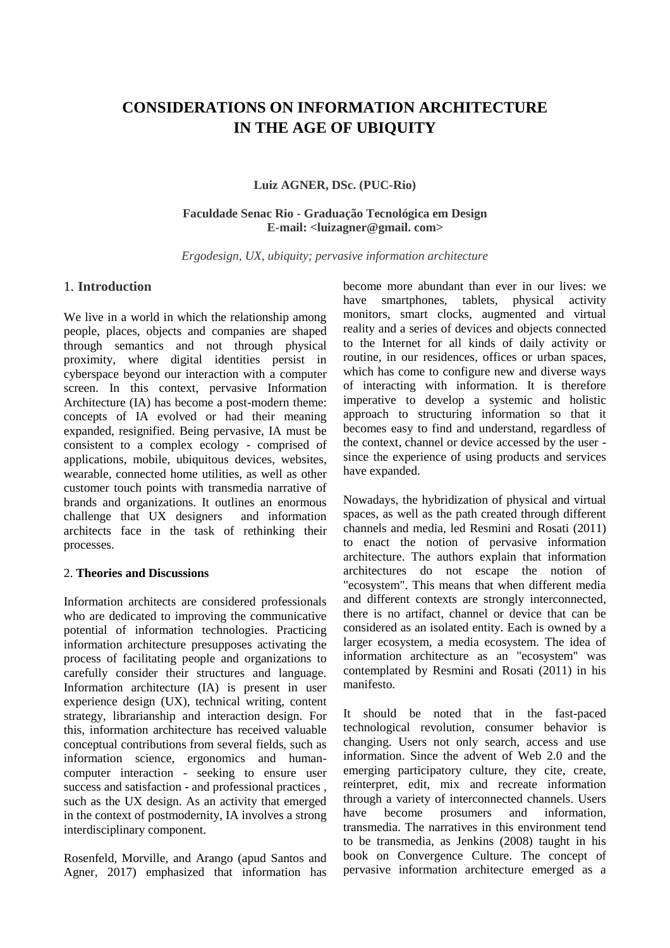# **CONSIDERATIONS ON INFORMATION ARCHITECTURE IN THE AGE OF UBIQUITY**

#### **Luiz AGNER, DSc. (PUC-Rio)**

#### **Faculdade Senac Rio - Graduação Tecnológica em Design E-mail: <luizagner@gmail. com>**

*Ergodesign, UX, ubiquity; pervasive information architecture*

## 1. **Introduction**

We live in a world in which the relationship among people, places, objects and companies are shaped through semantics and not through physical proximity, where digital identities persist in cyberspace beyond our interaction with a computer screen. In this context, pervasive Information Architecture (IA) has become a post-modern theme: concepts of IA evolved or had their meaning expanded, resignified. Being pervasive, IA must be consistent to a complex ecology - comprised of applications, mobile, ubiquitous devices, websites, wearable, connected home utilities, as well as other customer touch points with transmedia narrative of brands and organizations. It outlines an enormous challenge that UX designers and information architects face in the task of rethinking their processes.

## 2. **Theories and Discussions**

Information architects are considered professionals who are dedicated to improving the communicative potential of information technologies. Practicing information architecture presupposes activating the process of facilitating people and organizations to carefully consider their structures and language. Information architecture (IA) is present in user experience design (UX), technical writing, content strategy, librarianship and interaction design. For this, information architecture has received valuable conceptual contributions from several fields, such as information science, ergonomics and humancomputer interaction - seeking to ensure user success and satisfaction - and professional practices , such as the UX design. As an activity that emerged in the context of postmodernity, IA involves a strong interdisciplinary component.

Rosenfeld, Morville, and Arango (apud Santos and Agner, 2017) emphasized that information has become more abundant than ever in our lives: we have smartphones, tablets, physical activity monitors, smart clocks, augmented and virtual reality and a series of devices and objects connected to the Internet for all kinds of daily activity or routine, in our residences, offices or urban spaces, which has come to configure new and diverse ways of interacting with information. It is therefore imperative to develop a systemic and holistic approach to structuring information so that it becomes easy to find and understand, regardless of the context, channel or device accessed by the user since the experience of using products and services have expanded.

Nowadays, the hybridization of physical and virtual spaces, as well as the path created through different channels and media, led Resmini and Rosati (2011) to enact the notion of pervasive information architecture. The authors explain that information architectures do not escape the notion of "ecosystem". This means that when different media and different contexts are strongly interconnected, there is no artifact, channel or device that can be considered as an isolated entity. Each is owned by a larger ecosystem, a media ecosystem. The idea of information architecture as an "ecosystem" was contemplated by Resmini and Rosati (2011) in his manifesto.

It should be noted that in the fast-paced technological revolution, consumer behavior is changing. Users not only search, access and use information. Since the advent of Web 2.0 and the emerging participatory culture, they cite, create, reinterpret, edit, mix and recreate information through a variety of interconnected channels. Users have become prosumers and information, transmedia. The narratives in this environment tend to be transmedia, as Jenkins (2008) taught in his book on Convergence Culture. The concept of pervasive information architecture emerged as a